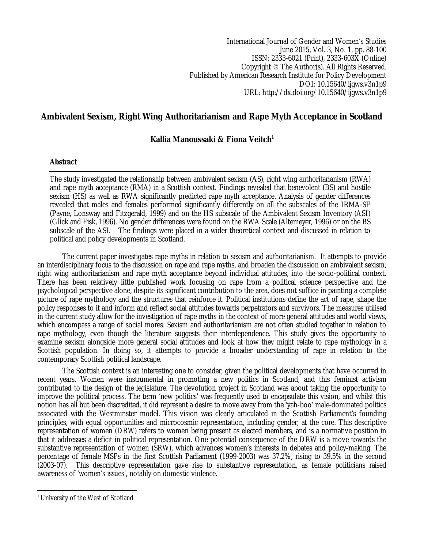International Journal of Gender and Women's Studies June 2015, Vol. 3, No. 1, pp. 88-100 ISSN: 2333-6021 (Print), 2333-603X (Online) Copyright © The Author(s). All Rights Reserved. Published by American Research Institute for Policy Development DOI: 10.15640/ijgws.v3n1p9 URL: http://dx.doi.org/10.15640/ijgws.v3n1p9

# **Ambivalent Sexism, Right Wing Authoritarianism and Rape Myth Acceptance in Scotland**

## **Kallia Manoussaki & Fiona Veitch<sup>1</sup>**

## **Abstract**

The study investigated the relationship between ambivalent sexism (AS), right wing authoritarianism (RWA) and rape myth acceptance (RMA) in a Scottish context. Findings revealed that benevolent (BS) and hostile sexism (HS) as well as RWA significantly predicted rape myth acceptance. Analysis of gender differences revealed that males and females performed significantly differently on all the subscales of the IRMA-SF (Payne, Lonsway and Fitzgerald, 1999) and on the HS subscale of the Ambivalent Sexism Inventory (ASI) (Glick and Fisk, 1996). No gender differences were found on the RWA Scale (Altemeyer, 1996) or on the BS subscale of the ASI. The findings were placed in a wider theoretical context and discussed in relation to political and policy developments in Scotland.

The current paper investigates rape myths in relation to sexism and authoritarianism. It attempts to provide an interdisciplinary focus to the discussion on rape and rape myths, and broaden the discussion on ambivalent sexism, right wing authoritarianism and rape myth acceptance beyond individual attitudes, into the socio-political context. There has been relatively little published work focusing on rape from a political science perspective and the psychological perspective alone, despite its significant contribution to the area, does not suffice in painting a complete picture of rape mythology and the structures that reinforce it. Political institutions define the act of rape, shape the policy responses to it and inform and reflect social attitudes towards perpetrators and survivors. The measures utilised in the current study allow for the investigation of rape myths in the context of more general attitudes and world views, which encompass a range of social mores. Sexism and authoritarianism are not often studied together in relation to rape mythology, even though the literature suggests their interdependence. This study gives the opportunity to examine sexism alongside more general social attitudes and look at how they might relate to rape mythology in a Scottish population. In doing so, it attempts to provide a broader understanding of rape in relation to the contemporary Scottish political landscape.

The Scottish context is an interesting one to consider, given the political developments that have occurred in recent years. Women were instrumental in promoting a new politics in Scotland, and this feminist activism contributed to the design of the legislature. The devolution project in Scotland was about taking the opportunity to improve the political process. The term 'new politics' was frequently used to encapsulate this vision, and whilst this notion has all but been discredited, it did represent a desire to move away from the 'yah-boo' male-dominated politics associated with the Westminster model. This vision was clearly articulated in the Scottish Parliament's founding principles, with equal opportunities and microcosmic representation, including gender, at the core. This descriptive representation of women (DRW) refers to women being present as elected members, and is a normative position in that it addresses a deficit in political representation. One potential consequence of the DRW is a move towards the substantive representation of women (SRW), which advances women's interests in debates and policy-making. The percentage of female MSPs in the first Scottish Parliament (1999-2003) was 37.2%, rising to 39.5% in the second (2003-07). This descriptive representation gave rise to substantive representation, as female politicians raised awareness of 'women's issues', notably on domestic violence.

 $\overline{a}$ <sup>1</sup> University of the West of Scotland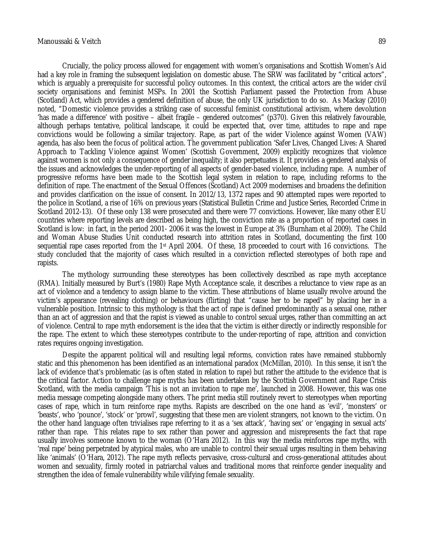Crucially, the policy process allowed for engagement with women's organisations and Scottish Women's Aid had a key role in framing the subsequent legislation on domestic abuse. The SRW was facilitated by "critical actors", which is arguably a prerequisite for successful policy outcomes. In this context, the critical actors are the wider civil society organisations and feminist MSPs. In 2001 the Scottish Parliament passed the Protection from Abuse (Scotland) Act, which provides a gendered definition of abuse, the only UK jurisdiction to do so. As Mackay (2010) noted, "Domestic violence provides a striking case of successful feminist constitutional activism, where devolution 'has made a difference' with positive – albeit fragile – gendered outcomes" (p370). Given this relatively favourable, although perhaps tentative, political landscape, it could be expected that, over time, attitudes to rape and rape convictions would be following a similar trajectory. Rape, as part of the wider Violence against Women (VAW) agenda, has also been the focus of political action. The government publication 'Safer Lives, Changed Lives: A Shared Approach to Tackling Violence against Women' (Scottish Government, 2009) explicitly recognizes that violence against women is not only a consequence of gender inequality; it also perpetuates it. It provides a gendered analysis of the issues and acknowledges the under-reporting of all aspects of gender-based violence, including rape. A number of progressive reforms have been made to the Scottish legal system in relation to rape, including reforms to the definition of rape. The enactment of the Sexual Offences (Scotland) Act 2009 modernises and broadens the definition and provides clarification on the issue of consent. In 2012/13, 1372 rapes and 90 attempted rapes were reported to the police in Scotland, a rise of 16% on previous years (Statistical Bulletin Crime and Justice Series, Recorded Crime in Scotland 2012-13). Of these only 138 were prosecuted and there were 77 convictions. However, like many other EU countries where reporting levels are described as being high, the conviction rate as a proportion of reported cases in Scotland is low: in fact, in the period 2001- 2006 it was the lowest in Europe at 3% (Burnham et al 2009). The Child and Woman Abuse Studies Unit conducted research into attrition rates in Scotland, documenting the first 100 sequential rape cases reported from the 1<sup>st</sup> April 2004. Of these, 18 proceeded to court with 16 convictions. The study concluded that the majority of cases which resulted in a conviction reflected stereotypes of both rape and rapists.

The mythology surrounding these stereotypes has been collectively described as rape myth acceptance (RMA). Initially measured by Burt's (1980) Rape Myth Acceptance scale, it describes a reluctance to view rape as an act of violence and a tendency to assign blame to the victim. These attributions of blame usually revolve around the victim's appearance (revealing clothing) or behaviours (flirting) that "cause her to be raped" by placing her in a vulnerable position. Intrinsic to this mythology is that the act of rape is defined predominantly as a sexual one, rather than an act of aggression and that the rapist is viewed as unable to control sexual urges, rather than committing an act of violence. Central to rape myth endorsement is the idea that the victim is either directly or indirectly responsible for the rape. The extent to which these stereotypes contribute to the under-reporting of rape, attrition and conviction rates requires ongoing investigation.

Despite the apparent political will and resulting legal reforms, conviction rates have remained stubbornly static and this phenomenon has been identified as an international paradox (McMillan, 2010). In this sense, it isn't the lack of evidence that's problematic (as is often stated in relation to rape) but rather the attitude to the evidence that is the critical factor. Action to challenge rape myths has been undertaken by the Scottish Government and Rape Crisis Scotland, with the media campaign 'This is not an invitation to rape me', launched in 2008. However, this was one media message competing alongside many others. The print media still routinely revert to stereotypes when reporting cases of rape, which in turn reinforce rape myths. Rapists are described on the one hand as 'evil', 'monsters' or 'beasts', who 'pounce', 'stock' or 'prowl', suggesting that these men are violent strangers, not known to the victim. On the other hand language often trivialises rape referring to it as a 'sex attack', 'having sex' or 'engaging in sexual acts' rather than rape. This relates rape to sex rather than power and aggression and misrepresents the fact that rape usually involves someone known to the woman (O'Hara 2012). In this way the media reinforces rape myths, with 'real rape' being perpetrated by atypical males, who are unable to control their sexual urges resulting in them behaving like 'animals' (O'Hara, 2012). The rape myth reflects pervasive, cross-cultural and cross-generational attitudes about women and sexuality, firmly rooted in patriarchal values and traditional mores that reinforce gender inequality and strengthen the idea of female vulnerability while vilifying female sexuality.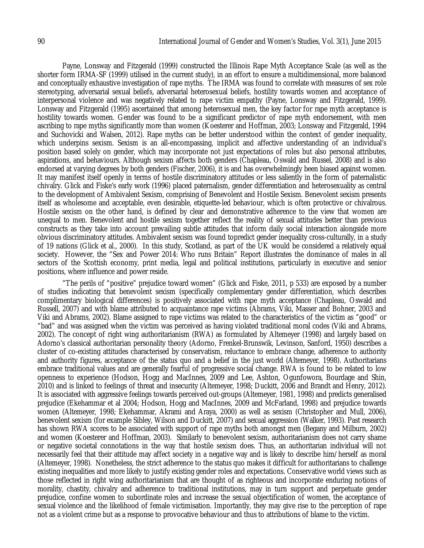Payne, Lonsway and Fitzgerald (1999) constructed the Illinois Rape Myth Acceptance Scale (as well as the shorter form IRMA-SF (1999) utilised in the current study), in an effort to ensure a multidimensional, more balanced and conceptually exhaustive investigation of rape myths. The IRMA was found to correlate with measures of sex role stereotyping, adversarial sexual beliefs, adversarial heterosexual beliefs, hostility towards women and acceptance of interpersonal violence and was negatively related to rape victim empathy (Payne, Lonsway and Fitzgerald, 1999). Lonsway and Fitzgerald (1995) ascertained that among heterosexual men, the key factor for rape myth acceptance is hostility towards women. Gender was found to be a significant predictor of rape myth endorsement, with men ascribing to rape myths significantly more than women (Koesterer and Hoffman, 2003; Lonsway and Fitzgerald, 1994 and Suchovicki and Walsen, 2012). Rape myths can be better understood within the context of gender inequality, which underpins sexism. Sexism is an all-encompassing, implicit and affective understanding of an individual's position based solely on gender, which may incorporate not just expectations of roles but also personal attributes, aspirations, and behaviours. Although sexism affects both genders (Chapleau, Oswald and Russel, 2008) and is also endorsed at varying degrees by both genders (Fischer, 2006), it is and has overwhelmingly been biased against women. It may manifest itself openly in terms of hostile discriminatory attitudes or less saliently in the form of paternalistic chivalry. Glick and Fiske's early work (1996) placed paternalism, gender differentiation and heterosexuality as central to the development of Ambivalent Sexism, comprising of Benevolent and Hostile Sexism. Benevolent sexism presents itself as wholesome and acceptable, even desirable, etiquette-led behaviour, which is often protective or chivalrous. Hostile sexism on the other hand, is defined by clear and demonstrative adherence to the view that women are unequal to men. Benevolent and hostile sexism together reflect the reality of sexual attitudes better than previous constructs as they take into account prevailing subtle attitudes that inform daily social interaction alongside more obvious discriminatory attitudes. Ambivalent sexism was found topredict gender inequality cross-culturally, in a study of 19 nations (Glick et al., 2000). In this study, Scotland, as part of the UK would be considered a relatively equal society. However, the "Sex and Power 2014: Who runs Britain" Report illustrates the dominance of males in all sectors of the Scottish economy, print media, legal and political institutions, particularly in executive and senior positions, where influence and power reside.

"The perils of "positive" prejudice toward women" (Glick and Fiske, 2011, p 533) are exposed by a number of studies indicating that benevolent sexism (specifically complementary gender differentiation, which describes complimentary biological differences) is positively associated with rape myth acceptance (Chapleau, Oswald and Russell, 2007) and with blame attributed to acquaintance rape victims (Abrams, Viki, Masser and Bohner, 2003 and Viki and Abrams, 2002). Blame assigned to rape victims was related to the characteristics of the victim as "good" or "bad" and was assigned when the victim was perceived as having violated traditional moral codes (Viki and Abrams, 2002). The concept of right wing authoritarianism (RWA) as formulated by Altemeyer (1998) and largely based on Adorno's classical authoritarian personality theory (Adorno, Frenkel-Brunswik, Levinson, Sanford, 1950) describes a cluster of co-existing attitudes characterised by conservatism, reluctance to embrace change, adherence to authority and authority figures, acceptance of the status quo and a belief in the just world (Altemeyer, 1998). Authoritarians embrace traditional values and are generally fearful of progressive social change. RWA is found to be related to low openness to experience (Hodson, Hogg and MacInnes, 2009 and Lee, Ashton, Ogunfowora, Bourdage and Shin, 2010) and is linked to feelings of threat and insecurity (Altemeyer, 1998; Duckitt, 2006 and Brandt and Henry, 2012). It is associated with aggressive feelings towards perceived out-groups (Altemeyer, 1981, 1998) and predicts generalised prejudice (Ekehammar et al 2004; Hodson, Hogg and MacInnes, 2009 and McFarland, 1998) and prejudice towards women (Altemeyer, 1998; Ekehammar, Akrami and Araya, 2000) as well as sexism (Christopher and Mull, 2006), benevolent sexism (for example Sibley, Wilson and Duckitt, 2007) and sexual aggression (Walker, 1993). Past research has shown RWA scores to be associated with support of rape myths both amongst men (Begany and Milburn, 2002) and women (Koesterer and Hoffman, 2003). Similarly to benevolent sexism, authoritarianism does not carry shame or negative societal connotations in the way that hostile sexism does. Thus, an authoritarian individual will not necessarily feel that their attitude may affect society in a negative way and is likely to describe him/herself as moral (Altemeyer, 1998). Nonetheless, the strict adherence to the status quo makes it difficult for authoritarians to challenge existing inequalities and more likely to justify existing gender roles and expectations. Conservative world views such as those reflected in right wing authoritarianism that are thought of as righteous and incorporate enduring notions of morality, chastity, chivalry and adherence to traditional institutions, may in turn support and perpetuate gender prejudice, confine women to subordinate roles and increase the sexual objectification of women, the acceptance of sexual violence and the likelihood of female victimisation. Importantly, they may give rise to the perception of rape not as a violent crime but as a response to provocative behaviour and thus to attributions of blame to the victim.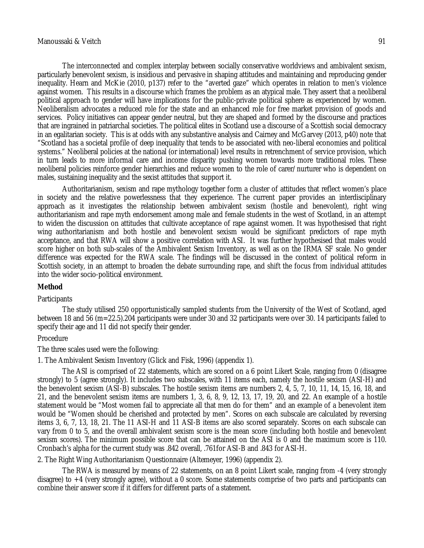The interconnected and complex interplay between socially conservative worldviews and ambivalent sexism, particularly benevolent sexism, is insidious and pervasive in shaping attitudes and maintaining and reproducing gender inequality. Hearn and McKie (2010, p137) refer to the "averted gaze" which operates in relation to men's violence against women. This results in a discourse which frames the problem as an atypical male. They assert that a neoliberal political approach to gender will have implications for the public-private political sphere as experienced by women. Neoliberalism advocates a reduced role for the state and an enhanced role for free market provision of goods and services. Policy initiatives can appear gender neutral, but they are shaped and formed by the discourse and practices that are ingrained in patriarchal societies. The political elites in Scotland use a discourse of a Scottish social democracy in an egalitarian society. This is at odds with any substantive analysis and Cairney and McGarvey (2013, p40) note that "Scotland has a societal profile of deep inequality that tends to be associated with neo-liberal economies and political systems." Neoliberal policies at the national (or international) level results in retrenchment of service provision, which in turn leads to more informal care and income disparity pushing women towards more traditional roles. These neoliberal policies reinforce gender hierarchies and reduce women to the role of carer/nurturer who is dependent on males, sustaining inequality and the sexist attitudes that support it.

Authoritarianism, sexism and rape mythology together form a cluster of attitudes that reflect women's place in society and the relative powerlessness that they experience. The current paper provides an interdisciplinary approach as it investigates the relationship between ambivalent sexism (hostile and benevolent), right wing authoritarianism and rape myth endorsement among male and female students in the west of Scotland, in an attempt to widen the discussion on attitudes that cultivate acceptance of rape against women. It was hypothesised that right wing authoritarianism and both hostile and benevolent sexism would be significant predictors of rape myth acceptance, and that RWA will show a positive correlation with ASI. It was further hypothesised that males would score higher on both sub-scales of the Ambivalent Sexism Inventory, as well as on the IRMA SF scale. No gender difference was expected for the RWA scale. The findings will be discussed in the context of political reform in Scottish society, in an attempt to broaden the debate surrounding rape, and shift the focus from individual attitudes into the wider socio-political environment.

#### **Method**

#### **Participants**

The study utilised 250 opportunistically sampled students from the University of the West of Scotland, aged between 18 and 56 (m=22.5).204 participants were under 30 and 32 participants were over 30. 14 participants failed to specify their age and 11 did not specify their gender.

#### Procedure

The three scales used were the following:

1. The Ambivalent Sexism Inventory (Glick and Fisk, 1996) (appendix 1).

The ASI is comprised of 22 statements, which are scored on a 6 point Likert Scale, ranging from 0 (disagree strongly) to 5 (agree strongly). It includes two subscales, with 11 items each, namely the hostile sexism (ASI-H) and the benevolent sexism (ASI-B) subscales. The hostile sexism items are numbers 2, 4, 5, 7, 10, 11, 14, 15, 16, 18, and 21, and the benevolent sexism items are numbers 1, 3, 6, 8, 9, 12, 13, 17, 19, 20, and 22. An example of a hostile statement would be "Most women fail to appreciate all that men do for them" and an example of a benevolent item would be "Women should be cherished and protected by men". Scores on each subscale are calculated by reversing items 3, 6, 7, 13, 18, 21. The 11 ASI-H and 11 ASI-B items are also scored separately. Scores on each subscale can vary from 0 to 5, and the overall ambivalent sexism score is the mean score (including both hostile and benevolent sexism scores). The minimum possible score that can be attained on the ASI is 0 and the maximum score is 110. Cronbach's alpha for the current study was .842 overall, .761for ASI-B and .843 for ASI-H.

2. The Right Wing Authoritarianism Questionnaire (Altemeyer, 1996) (appendix 2).

The RWA is measured by means of 22 statements, on an 8 point Likert scale, ranging from -4 (very strongly disagree) to +4 (very strongly agree), without a 0 score. Some statements comprise of two parts and participants can combine their answer score if it differs for different parts of a statement.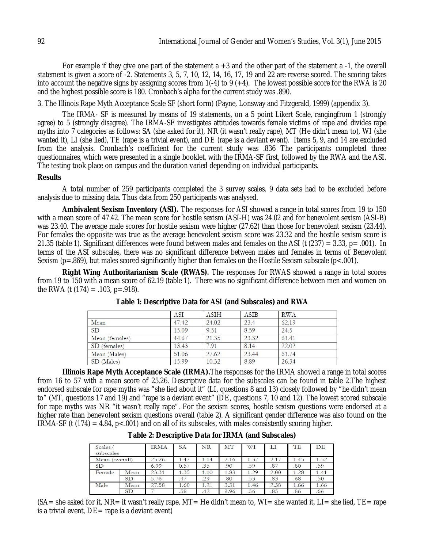For example if they give one part of the statement  $a + 3$  and the other part of the statement a -1, the overall statement is given a score of -2. Statements 3, 5, 7, 10, 12, 14, 16, 17, 19 and 22 are reverse scored. The scoring takes into account the negative signs by assigning scores from 1(-4) to 9 (+4). The lowest possible score for the RWA is 20 and the highest possible score is 180. Cronbach's alpha for the current study was .890.

3. The Illinois Rape Myth Acceptance Scale SF (short form) (Payne, Lonsway and Fitzgerald, 1999) (appendix 3).

The IRMA- SF is measured by means of 19 statements, on a 5 point Likert Scale, rangingfrom 1 (strongly agree) to 5 (strongly disagree). The IRMA-SF investigates attitudes towards female victims of rape and divides rape myths into 7 categories as follows: SA (she asked for it), NR (it wasn't really rape), MT (He didn't mean to), WI (she wanted it), LI (she lied), TE (rape is a trivial event), and DE (rape is a deviant event). Items 5, 9, and 14 are excluded from the analysis. Cronbach's coefficient for the current study was .836 The participants completed three questionnaires, which were presented in a single booklet, with the IRMA-SF first, followed by the RWA and the ASI. The testing took place on campus and the duration varied depending on individual participants.

## **Results**

A total number of 259 participants completed the 3 survey scales. 9 data sets had to be excluded before analysis due to missing data. Thus data from 250 participants was analysed.

**Ambivalent Sexism Inventory (ASI).** The responses for ASI showed a range in total scores from 19 to 150 with a mean score of 47.42. The mean score for hostile sexism (ASI-H) was 24.02 and for benevolent sexism (ASI-B) was 23.40. The average male scores for hostile sexism were higher (27.62) than those for benevolent sexism (23.44). For females the opposite was true as the average benevolent sexism score was 23.32 and the hostile sexism score is 21.35 (table 1). Significant differences were found between males and females on the ASI (t  $(237) = 3.33$ , p= .001). In terms of the ASI subscales, there was no significant difference between males and females in terms of Benevolent Sexism (p=.869), but males scored significantly higher than females on the Hostile Sexism subscale (p<.001).

**Right Wing Authoritarianism Scale (RWAS).** The responses for RWAS showed a range in total scores from 19 to 150 with a mean score of 62.19 (table 1). There was no significant difference between men and women on the RWA (t  $(174) = .103$ , p=.918).

|                | ASI   | <b>ASIH</b> | <b>ASIB</b> | <b>RWA</b> |  |
|----------------|-------|-------------|-------------|------------|--|
| Mean           | 47.42 | 24.02       | 23.4        | 62.19      |  |
| <b>SD</b>      | 15.09 | 9.51        | 8.59        | 24.5       |  |
| Mean (females) | 44.67 | 21.35       | 23.32       | 61.41      |  |
| SD (females)   | 13.43 | 7.91        | 8.14        | 22.02      |  |
| Mean (Males)   | 51.06 | 27.62       | 23.44       | 61.74      |  |
| SD (Males)     | 15.99 | 10.32       | 8.89        | 26.34      |  |

**Table 1: Descriptive Data for ASI (and Subscales) and RWA**

**Illinois Rape Myth Acceptance Scale (IRMA).**The responses for the IRMA showed a range in total scores from 16 to 57 with a mean score of 25.26. Descriptive data for the subscales can be found in table 2.The highest endorsed subscale for rape myths was "she lied about it" (LI, questions 8 and 13) closely followed by "he didn't mean to" (MT, questions 17 and 19) and "rape is a deviant event" (DE, questions 7, 10 and 12). The lowest scored subscale for rape myths was NR "it wasn't really rape". For the sexism scores, hostile sexism questions were endorsed at a higher rate than benevolent sexism questions overall (table 2). A significant gender difference was also found on the  $IRMA-SF$  (t (174) = 4.84, p<.001) and on all of its subscales, with males consistently scoring higher.

| Scales/<br>subscales |           | <b>IRMA</b> | <b>SA</b> | <b>NR</b> | MT   | WI   | $_{\rm LI}$ | <b>TE</b> | DE   |
|----------------------|-----------|-------------|-----------|-----------|------|------|-------------|-----------|------|
| Mean (overall)       |           | 25.26       | 1.47      | 1.14      | 2.16 | 1.37 | 2.17        | 1.45      | 1.52 |
| <b>SD</b>            |           | 6.99        | 0.57      | .35       | .90  | .59  | .87         | .80       | .59  |
| Female               | Mean      | 23.31       | 1.35      | 1.10      | 1.83 | 1.29 | 2.00        | 1.28      | 1.41 |
|                      | SD        | 5.76        | .47       | .29       | .80  | .53  | .83         | .68       | .50  |
| Male                 | Mean      | 27.58       | 1.60      | 1.21      | 3.31 | 1.46 | 2.38        | 1.66      | 1.66 |
|                      | <b>SD</b> |             | .58       | .42       | 9.96 | .56  | .85         | .86       | .66  |

**Table 2: Descriptive Data for IRMA (and Subscales)**

(SA= she asked for it, NR= it wasn't really rape, MT= He didn't mean to, WI= she wanted it, LI= she lied, TE= rape is a trivial event,  $DE =$  rape is a deviant event)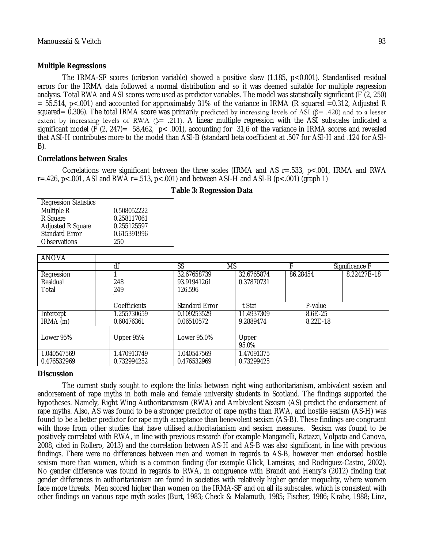#### **Multiple Regressions**

The IRMA-SF scores (criterion variable) showed a positive skew (1.185, p<0.001). Standardised residual errors for the IRMA data followed a normal distribution and so it was deemed suitable for multiple regression analysis. Total RWA and ASI scores were used as predictor variables. The model was statistically significant (F (2, 250)  $= 55.514$ , p<.001) and accounted for approximately 31% of the variance in IRMA (R squared  $=0.312$ , Adjusted R squared= 0.306). The total IRMA score was primarily predicted by increasing levels of ASI ( $\beta$ = .420) and to a lesser extent by increasing levels of RWA (β= .211). A linear multiple regression with the ASI subscales indicated a significant model (F  $(2, 247) = 58,462$ , p< .001), accounting for 31,6 of the variance in IRMA scores and revealed that ASI-H contributes more to the model than ASI-B (standard beta coefficient at .507 for ASI-H and .124 for ASI-B).

#### **Correlations between Scales**

Correlations were significant between the three scales (IRMA and AS r=.533, p<.001, IRMA and RWA  $r = .426$ ,  $p < .001$ , ASI and RWA  $r = .513$ ,  $p < .001$ ) and between ASI-H and ASI-B ( $p < .001$ ) (graph 1)

| <b>Regression Statistics</b> |             |
|------------------------------|-------------|
| Multiple R                   | 0.508052222 |
| R Square                     | 0.258117061 |
| <b>Adjusted R Square</b>     | 0.255125597 |
| <b>Standard Error</b>        | 0.615391996 |
| <b>Observations</b>          | 250         |

**Table 3: Regression Data**

| <b>ANOVA</b> |              |                       |            |          |                |             |
|--------------|--------------|-----------------------|------------|----------|----------------|-------------|
|              | df           | SS                    | <b>MS</b>  |          | Significance F |             |
| Regression   |              | 32.67658739           | 32.6765874 | 86.28454 |                | 8.22427E-18 |
| Residual     | 248          | 93.91941261           | 0.37870731 |          |                |             |
| Total        | 249          | 126.596               |            |          |                |             |
|              |              |                       |            |          |                |             |
|              | Coefficients | <b>Standard Error</b> | t Stat     |          | P-value        |             |
| Intercept    | 1.255730659  | 0.109253529           | 11.4937309 |          | $8.6E - 25$    |             |
| IRMA (m)     | 0.60476361   | 0.06510572            | 9.2889474  |          | 8.22E-18       |             |
|              |              |                       |            |          |                |             |
| Lower 95%    | Upper 95%    | Lower 95.0%           | Upper      |          |                |             |
|              |              |                       | 95.0%      |          |                |             |
| 1.040547569  | .470913749   | 1.040547569           | 1.47091375 |          |                |             |
| 0.476532969  | 0.732994252  | 0.476532969           | 0.73299425 |          |                |             |

## **Discussion**

The current study sought to explore the links between right wing authoritarianism, ambivalent sexism and endorsement of rape myths in both male and female university students in Scotland. The findings supported the hypotheses. Namely, Right Wing Authoritarianism (RWA) and Ambivalent Sexism (AS) predict the endorsement of rape myths. Also, AS was found to be a stronger predictor of rape myths than RWA, and hostile sexism (AS-H) was found to be a better predictor for rape myth acceptance than benevolent sexism (AS-B). These findings are congruent with those from other studies that have utilised authoritarianism and sexism measures. Sexism was found to be positively correlated with RWA, in line with previous research (for example Manganelli, Ratazzi, Volpato and Canova, 2008, cited in Rollero, 2013) and the correlation between AS-H and AS-B was also significant, in line with previous findings. There were no differences between men and women in regards to AS-B, however men endorsed hostile sexism more than women, which is a common finding (for example Glick, Lameiras, and Rodriguez-Castro, 2002). No gender difference was found in regards to RWA, in congruence with Brandt and Henry's (2012) finding that gender differences in authoritarianism are found in societies with relatively higher gender inequality, where women face more threats. Men scored higher than women on the IRMA-SF and on all its subscales, which is consistent with other findings on various rape myth scales (Burt, 1983; Check & Malamuth, 1985; Fischer, 1986; Krahe, 1988; Linz,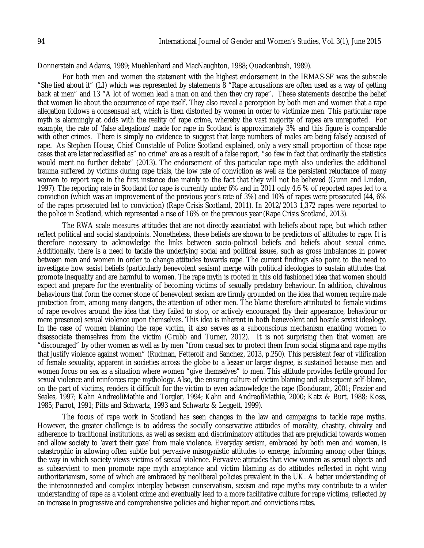Donnerstein and Adams, 1989; Muehlenhard and MacNaughton, 1988; Quackenbush, 1989).

For both men and women the statement with the highest endorsement in the IRMAS-SF was the subscale "She lied about it" (LI) which was represented by statements 8 "Rape accusations are often used as a way of getting back at men" and 13 "A lot of women lead a man on and then they cry rape". These statements describe the belief that women lie about the occurrence of rape itself. They also reveal a perception by both men and women that a rape allegation follows a consensual act, which is then distorted by women in order to victimize men. This particular rape myth is alarmingly at odds with the reality of rape crime, whereby the vast majority of rapes are unreported. For example, the rate of 'false allegations' made for rape in Scotland is approximately 3% and this figure is comparable with other crimes. There is simply no evidence to suggest that large numbers of males are being falsely accused of rape. As Stephen House, Chief Constable of Police Scotland explained, only a very small proportion of those rape cases that are later reclassified as" no crime" are as a result of a false report, "so few in fact that ordinarily the statistics would merit no further debate" (2013). The endorsement of this particular rape myth also underlies the additional trauma suffered by victims during rape trials, the low rate of conviction as well as the persistent reluctance of many women to report rape in the first instance due mainly to the fact that they will not be believed (Gunn and Linden, 1997). The reporting rate in Scotland for rape is currently under 6% and in 2011 only 4.6 % of reported rapes led to a conviction (which was an improvement of the previous year's rate of 3%) and 10% of rapes were prosecuted (44, 6% of the rapes prosecuted led to conviction) (Rape Crisis Scotland, 2011). In 2012/2013 1,372 rapes were reported to the police in Scotland, which represented a rise of 16% on the previous year (Rape Crisis Scotland, 2013).

The RWA scale measures attitudes that are not directly associated with beliefs about rape, but which rather reflect political and social standpoints. Nonetheless, these beliefs are shown to be predictors of attitudes to rape. It is therefore necessary to acknowledge the links between socio-political beliefs and beliefs about sexual crime. Additionally, there is a need to tackle the underlying social and political issues, such as gross imbalances in power between men and women in order to change attitudes towards rape. The current findings also point to the need to investigate how sexist beliefs (particularly benevolent sexism) merge with political ideologies to sustain attitudes that promote inequality and are harmful to women. The rape myth is rooted in this old fashioned idea that women should expect and prepare for the eventuality of becoming victims of sexually predatory behaviour. In addition, chivalrous behaviours that form the corner stone of benevolent sexism are firmly grounded on the idea that women require male protection from, among many dangers, the attention of other men. The blame therefore attributed to female victims of rape revolves around the idea that they failed to stop, or actively encouraged (by their appearance, behaviour or mere presence) sexual violence upon themselves. This idea is inherent in both benevolent and hostile sexist ideology. In the case of women blaming the rape victim, it also serves as a subconscious mechanism enabling women to disassociate themselves from the victim (Grubb and Turner, 2012). It is not surprising then that women are "discouraged" by other women as well as by men "from casual sex to protect them from social stigma and rape myths that justify violence against women" (Rudman, Fetterolf and Sanchez, 2013, p.250). This persistent fear of vilification of female sexuality, apparent in societies across the globe to a lesser or larger degree, is sustained because men and women focus on sex as a situation where women "give themselves" to men. This attitude provides fertile ground for sexual violence and reinforces rape mythology. Also, the ensuing culture of victim blaming and subsequent self-blame, on the part of victims, renders it difficult for the victim to even acknowledge the rape (Bondurant, 2001; Frazier and Seales, 1997; Kahn AndreoliMathie and Torgler, 1994; Kahn and AndreoliMathie, 2000; Katz & Burt, 1988; Koss, 1985; Parrot, 1991; Pitts and Schwartz, 1993 and Schwartz & Leggett, 1999).

The focus of rape work in Scotland has seen changes in the law and campaigns to tackle rape myths. However, the greater challenge is to address the socially conservative attitudes of morality, chastity, chivalry and adherence to traditional institutions, as well as sexism and discriminatory attitudes that are prejudicial towards women and allow society to 'avert their gaze' from male violence. Everyday sexism, embraced by both men and women, is catastrophic in allowing often subtle but pervasive misogynistic attitudes to emerge, informing among other things, the way in which society views victims of sexual violence. Pervasive attitudes that view women as sexual objects and as subservient to men promote rape myth acceptance and victim blaming as do attitudes reflected in right wing authoritarianism, some of which are embraced by neoliberal policies prevalent in the UK. A better understanding of the interconnected and complex interplay between conservatism, sexism and rape myths may contribute to a wider understanding of rape as a violent crime and eventually lead to a more facilitative culture for rape victims, reflected by an increase in progressive and comprehensive policies and higher report and convictions rates.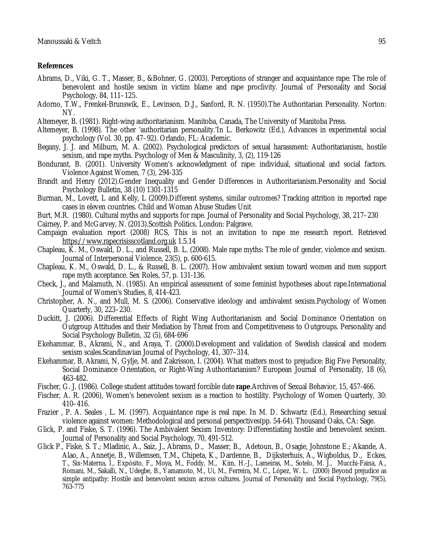## **References**

- Abrams, D., Viki, G. T., Masser, B., &Bohner, G. (2003). Perceptions of stranger and acquaintance rape: The role of benevolent and hostile sexism in victim blame and rape proclivity. Journal of Personality and Social Psychology, 84, 111–125.
- Adorno, T.W., Frenkel-Brunswik, E., Levinson, D.J., Sanford, R. N. (1950).The Authoritarian Personality. Norton: NY.
- Altemeyer, B. (1981). Right-wing authoritarianism. Manitoba, Canada, The University of Manitoba Press.
- Altemeyer, B. (1998). The other 'authoritarian personality.'In L. Berkowitz (Ed.), Advances in experimental social psychology (Vol. 30, pp. 47–92). Orlando, FL: Academic.
- Begany, J. J. and Milburn, M. A. (2002). Psychological predictors of sexual harassment: Authoritarianism, hostile sexism, and rape myths. Psychology of Men & Masculinity, 3, (2), 119-126
- Bondurant, B. (2001). University Women's acknowledgment of rape: individual, situational and social factors. Violence Against Women, 7 (3), 294-335
- Brandt and Henry (2012).Gender Inequality and Gender Differences in Authoritarianism.Personality and Social Psychology Bulletin, 38 (10) 1301-1315
- Burman, M., Lovett, L and Kelly, L (2009).Different systems, similar outcomes? Tracking attrition in reported rape cases in eleven countries. Child and Woman Abuse Studies Unit
- Burt, M.R. (1980). Cultural myths and supports for rape. Journal of Personality and Social Psychology, 38, 217–230
- Cairney, P. and McGarvey, N. (2013).Scottish Politics. London: Palgrave.
- Campaign evaluation report (2008) RCS, This is not an invitation to rape me research report. Retrieved https://www.rapecrisisscotland.org.uk 1.5.14
- Chapleau, K. M., Oswald, D. L., and Russell, B. L. (2008). Male rape myths: The role of gender, violence and sexism. Journal of Interpersonal Violence, 23(5), p. 600-615.
- Chapleau, K. M., Oswald, D. L., & Russell, B. L. (2007). How ambivalent sexism toward women and men support rape myth acceptance. Sex Roles, 57, p. 131-136.
- Check, J., and Malamuth, N. (1985). An empirical assessment of some feminist hypotheses about rape.International Journal of Women's Studies, 8, 414-423.
- Christopher, A. N., and Mull, M. S. (2006). Conservative ideology and ambivalent sexism.Psychology of Women Quarterly, 30, 223–230.
- Duckitt, J. (2006). Differential Effects of Right Wing Authoritarianism and Social Dominance Orientation on Outgroup Attitudes and their Mediation by Threat from and Competitiveness to Outgroups. Personality and Social Psychology Bulletin, 32 (5), 684-696
- Ekehammar, B., Akrami, N., and Araya, T. (2000).Development and validation of Swedish classical and modern sexism scales.Scandinavian Journal of Psychology, 41, 307–314.
- Ekehammar, B, Akrami, N, Gylje, M. and Zakrisson, I. (2004). What matters most to prejudice: Big Five Personality, Social Dominance Orientation, or Right-Wing Authoritarianism? European Journal of Personality, 18 (6), 463-482.
- Fischer, G. J. (1986). College student attitudes toward forcible date **rape**.Archives of Sexual Behavior, 15, 457-466.
- Fischer, A. R. (2006), Women's benevolent sexism as a reaction to hostility. Psychology of Women Quarterly, 30: 410–416.
- Frazier , P. A. Seales , L. M. (1997). Acquaintance rape is real rape. In M. D. Schwartz (Ed.), Researching sexual violence against women: Methodological and personal perspectives(pp. 54-64). Thousand Oaks, CA: Sage.
- Glick, P. and Fiske, S. T. (1996). The Ambivalent Sexism Inventory: Differentiating hostile and benevolent sexism. Journal of Personality and Social Psychology, 70, 491-512.
- Glick P., Fiske, S. T.; Mladinic, A., Saiz, J., Abrams, D., Masser, B., Adetoun, B., Osagie, Johnstone E.; Akande, A. Alao, A., Annetje, B., Willemsen, T.M., Chipeta, K., Dardenne, B., Dijksterhuis, A., Wigboldus, D., Eckes, T., Six-Materna, I., Expósito, F., Moya, M., Foddy, M., Kim, H.-J., Lameiras, M., Sotelo, M. J., Mucchi-Faina, A., Romani, M., Sakalli, N., Udegbe, B., Yamamoto, M., Ui, M., Ferreira, M. C., López, W. L. (2000) Beyond prejudice as simple antipathy: Hostile and benevolent sexism across cultures. Journal of Personality and Social Psychology, 79(5), 763-775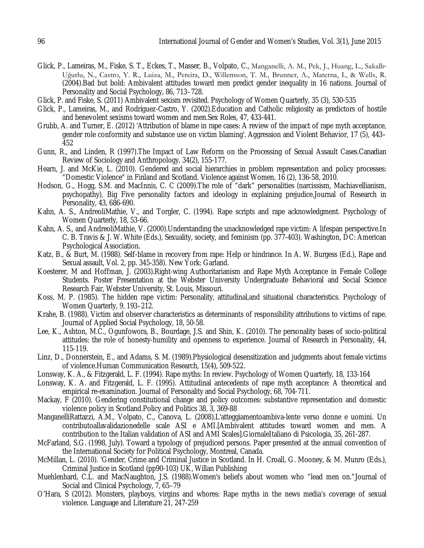- Glick, P., Lameiras, M., Fiske, S. T., Eckes, T., Masser, B., Volpato, C., Manganelli, A. M., Pek, J., Huang, L., Sakallı-Uğurlu, N., Castro, Y. R., Luiza, M., Pereira, D., Willemson, T. M., Brunner, A., Materna, I., & Wells, R. (2004).Bad but bold: Ambivalent attitudes toward men predict gender inequality in 16 nations. Journal of Personality and Social Psychology, 86, 713–728.
- Glick, P. and Fiske, S. (2011) Ambivalent sexism revisited. Psychology of Women Quarterly, 35 (3), 530-535
- Glick, P., Lameiras, M., and Rodríguez-Castro, Y. (2002).Education and Catholic religiosity as predictors of hostile and benevolent sexisms toward women and men.Sex Roles, 47, 433-441.
- Grubb, A. and Turner, E. (2012) 'Attribution of blame in rape cases: A review of the impact of rape myth acceptance, gender role conformity and substance use on victim blaming'. Aggression and Violent Behavior, 17 (5), 443– 452
- Gunn, R., and Linden, R (1997).The Impact of Law Reform on the Processing of Sexual Assault Cases.Canadian Review of Sociology and Anthropology, 34(2), 155-177.
- Hearn, J. and McKie, L. (2010). Gendered and social hierarchies in problem representation and policy processes: "Domestic Violence" in Finland and Scotland. Violence against Women, 16 (2), 136-58, 2010.
- Hodson, G., Hogg, S.M. and MacInnis, C. C (2009).The role of "dark" personalities (narcissism, Machiavellianism, psychopathy), Big Five personality factors and ideology in explaining prejudice.Journal of Research in Personality, 43, 686-690.
- Kahn, A. S., AndreoliMathie, V., and Torgler, C. (1994). Rape scripts and rape acknowledgment. Psychology of Women Quarterly, 18, 53-66.
- Kahn, A. S., and AndreoliMathie, V. (2000).Understanding the unacknowledged rape victim: A lifespan perspective.In C. B. Travis & J. W. White (Eds.), Sexuality, society, and feminism (pp. 377-403). Washington, DC: American Psychological Association.
- Katz, B., & Burt, M. (1988). Self-blame in recovery from rape: Help or hindrance. In A. W. Burgess (Ed.), Rape and Sexual assault, Vol. 2, pp. 345-358). New York: Garland.
- Koesterer, M and Hoffman, J. (2003).Right-wing Authoritarianism and Rape Myth Acceptance in Female College Students. Poster Presentation at the Webster University Undergraduate Behavioral and Social Science Research Fair, Webster University, St. Louis, Missouri.
- Koss, M. P. (1985). The hidden rape victim: Personality, attitudinal,and situational characteristics. Psychology of Women Quarterly, 9, 193–212.
- Krahe, B. (1988). Victim and observer characteristics as determinants of responsibility attributions to victims of rape. Journal of Applied Social Psychology, 18, 50-58.
- Lee, K., Ashton, M.C., Ogunfowora, B., Bourdage, J.S. and Shin, K. (2010). The personality bases of socio-political attitudes: the role of honesty-humility and openness to experience. Journal of Research in Personality, 44, 115-119.
- Linz, D., Donnerstein, E., and Adams, S. M. (1989).Physiological desensitization and judgments about female victims of violence.Human Communication Research, 15(4), 509-522.
- Lonsway, K. A., & Fitzgerald, L. F. (1994). Rape myths: In review. Psychology of Women Quarterly, 18, 133-164
- Lonsway, K. A. and Fitzgerald, L. F. (1995). Attitudinal antecedents of rape myth acceptance: A theoretical and empirical re-examination. Journal of Personality and Social Psychology, 68, 704-711.
- Mackay, F (2010). Gendering constitutional change and policy outcomes: substantive representation and domestic violence policy in Scotland.Policy and Politics 38, 3, 369-88
- ManganelliRattazzi, A.M., Volpato, C., Canova, L. (2008).L'atteggiamentoambiva-lente verso donne e uomini. Un contributoallavalidazionedelle scale ASI e AMI.[Ambivalent attitudes toward women and men. A contribution to the Italian validation of ASI and AMI Scales].GiornaleItaliano di Psicologia, 35, 261-287.
- McFarland, S.G. (1998, July). Toward a typology of prejudiced persons. Paper presented at the annual convention of the International Society for Political Psychology, Montreal, Canada.
- McMillan, L. (2010). 'Gender, Crime and Criminal Justice in Scotland. In H. Croall, G. Mooney, & M. Munro (Eds.), Criminal Justice in Scotland (pp90-103) UK, Willan Publishing
- Muehlenhard, C.L. and MacNaughton, J.S. (1988). Women's beliefs about women who "lead men on." Journal of Social and Clinical Psychology, 7, 65–79
- O'Hara, S (2012). Monsters, playboys, virgins and whores: Rape myths in the news media's coverage of sexual violence. Language and Literature 21, 247-259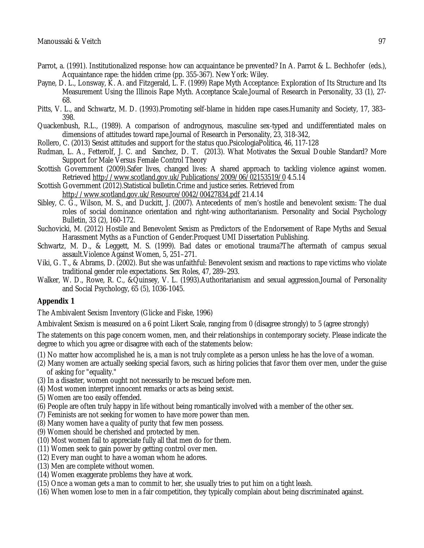- Parrot, a. (1991). Institutionalized response: how can acquaintance be prevented? In A. Parrot & L. Bechhofer (eds.), Acquaintance rape: the hidden crime (pp. 355-367). New York: Wiley.
- Payne, D. L., Lonsway, K. A. and Fitzgerald, L. F. (1999) Rape Myth Acceptance: Exploration of Its Structure and Its Measurement Using the Illinois Rape Myth. Acceptance Scale.Journal of Research in Personality, 33 (1), 27- 68.
- Pitts, V. L., and Schwartz, M. D. (1993). Promoting self-blame in hidden rape cases. Humanity and Society, 17, 383– 398.
- Quackenbush, R.L., (1989). A comparison of androgynous, masculine sex-typed and undifferentiated males on dimensions of attitudes toward rape.Journal of Research in Personality, 23, 318-342,
- Rollero, C. (2013) Sexist attitudes and support for the status quo.PsicologiaPolitica, 46, 117-128
- Rudman, L. A., Fetterolf, J. C. and Sanchez, D. T. (2013). What Motivates the Sexual Double Standard? More Support for Male Versus Female Control Theory
- Scottish Government (2009).Safer lives, changed lives: A shared approach to tackling violence against women. Retrieved http://www.scotland.gov.uk/Publications/2009/06/02153519/0 4.5.14
- Scottish Government (2012).Statistical bulletin.Crime and justice series. Retrieved from http://www.scotland.gov.uk/Resource/0042/00427834.pdf 21.4.14
- Sibley, C. G., Wilson, M. S., and Duckitt, J. (2007). Antecedents of men's hostile and benevolent sexism: The dual roles of social dominance orientation and right-wing authoritarianism. Personality and Social Psychology Bulletin, 33 (2), 160-172.
- Suchovicki, M. (2012) Hostile and Benevolent Sexism as Predictors of the Endorsement of Rape Myths and Sexual Harassment Myths as a Function of Gender.Proquest UMI Dissertation Publishing.
- Schwartz, M. D., & Leggett, M. S. (1999). Bad dates or emotional trauma?The aftermath of campus sexual assault.Violence Against Women, 5, 251–271.
- Viki, G. T., & Abrams, D. (2002). But she was unfaithful: Benevolent sexism and reactions to rape victims who violate traditional gender role expectations. Sex Roles, 47, 289–293.
- Walker, W. D., Rowe, R. C., &Quinsey, V. L. (1993).Authoritarianism and sexual aggression.Journal of Personality and Social Psychology, 65 (5), 1036-1045.

## **Appendix 1**

The Ambivalent Sexism Inventory (Glicke and Fiske, 1996)

Ambivalent Sexism is measured on a 6 point Likert Scale, ranging from 0 (disagree strongly) to 5 (agree strongly)

The statements on this page concern women, men, and their relationships in contemporary society. Please indicate the degree to which you agree or disagree with each of the statements below:

- (1) No matter how accomplished he is, a man is not truly complete as a person unless he has the love of a woman.
- (2) Many women are actually seeking special favors, such as hiring policies that favor them over men, under the guise of asking for "equality."
- (3) In a disaster, women ought not necessarily to be rescued before men.
- (4) Most women interpret innocent remarks or acts as being sexist.
- (5) Women are too easily offended.
- (6) People are often truly happy in life without being romantically involved with a member of the other sex.
- (7) Feminists are not seeking for women to have more power than men.
- (8) Many women have a quality of purity that few men possess.
- (9) Women should be cherished and protected by men.
- (10) Most women fail to appreciate fully all that men do for them.
- (11) Women seek to gain power by getting control over men.
- (12) Every man ought to have a woman whom he adores.
- (13) Men are complete without women.
- (14) Women exaggerate problems they have at work.
- (15) Once a woman gets a man to commit to her, she usually tries to put him on a tight leash.
- (16) When women lose to men in a fair competition, they typically complain about being discriminated against.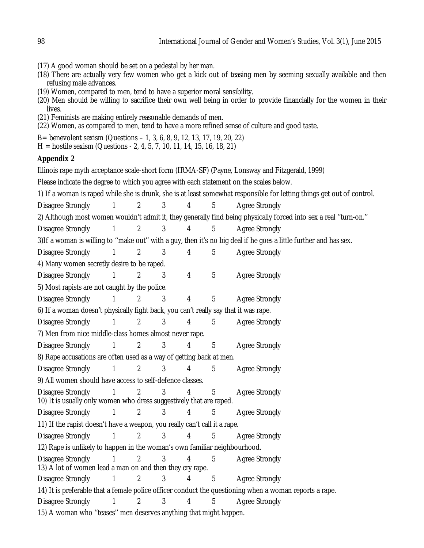- (17) A good woman should be set on a pedestal by her man.
- (18) There are actually very few women who get a kick out of teasing men by seeming sexually available and then refusing male advances.
- (19) Women, compared to men, tend to have a superior moral sensibility.
- (20) Men should be willing to sacrifice their own well being in order to provide financially for the women in their lives.
- (21) Feminists are making entirely reasonable demands of men.
- (22) Women, as compared to men, tend to have a more refined sense of culture and good taste.
- B= benevolent sexism (Questions 1, 3, 6, 8, 9, 12, 13, 17, 19, 20, 22)
- H = hostile sexism (Questions 2, 4, 5, 7, 10, 11, 14, 15, 16, 18, 21)

## **Appendix 2**

Illinois rape myth acceptance scale-short form (IRMA-SF) (Payne, Lonsway and Fitzgerald, 1999)

Please indicate the degree to which you agree with each statement on the scales below.

1) If a woman is raped while she is drunk, she is at least somewhat responsible for letting things get out of control.

Disagree Strongly  $1 \t2 \t3 \t4 \t5$  Agree Strongly

2) Although most women wouldn't admit it, they generally find being physically forced into sex a real ''turn-on.''

Disagree Strongly 1 2 3 4 5 Agree Strongly

3)If a woman is willing to ''make out'' with a guy, then it's no big deal if he goes a little further and has sex.

Disagree Strongly 1 2 3 4 5 Agree Strongly

4) Many women secretly desire to be raped.

Disagree Strongly  $\begin{array}{cccc} 1 & 2 & 3 & 4 & 5 & \text{Agree Strongly} \end{array}$ 

5) Most rapists are not caught by the police.

Disagree Strongly  $\begin{array}{cccc} 1 & 2 & 3 & 4 & 5 & \text{Agree Strongly} \end{array}$ 

- 6) If a woman doesn't physically fight back, you can't really say that it was rape.
- Disagree Strongly  $\begin{array}{cccc} 1 & 2 & 3 & 4 & 5 & \text{Agree Strongly} \end{array}$

7) Men from nice middle-class homes almost never rape.

Disagree Strongly  $\begin{array}{cccc} 1 & 2 & 3 & 4 & 5 & \text{Agree Strongly} \end{array}$ 

8) Rape accusations are often used as a way of getting back at men.

```
Disagree Strongly 1 \t2 \t3 \t4 \t5 Agree Strongly
```
9) All women should have access to self-defence classes.

Disagree Strongly  $\begin{array}{cccc} 1 & 2 & 3 & 4 & 5 & \text{Agree strongly} \end{array}$ 10) It is usually only women who dress suggestively that are raped.

Disagree Strongly  $\begin{array}{cccc} 1 & 2 & 3 & 4 & 5 & \text{Agree Strongly} \end{array}$ 

11) If the rapist doesn't have a weapon, you really can't call it a rape.

Disagree Strongly  $\begin{array}{cccc} 1 & 2 & 3 & 4 & 5 & \text{Agree Strongly} \end{array}$ 

12) Rape is unlikely to happen in the woman's own familiar neighbourhood.

Disagree Strongly  $1 \t2 \t3 \t4 \t5$  Agree Strongly 13) A lot of women lead a man on and then they cry rape.

Disagree Strongly 1 2 3 4 5 Agree Strongly

14) It is preferable that a female police officer conduct the questioning when a woman reports a rape.

Disagree Strongly 1 2 3 4 5 Agree Strongly

15) A woman who ''teases'' men deserves anything that might happen.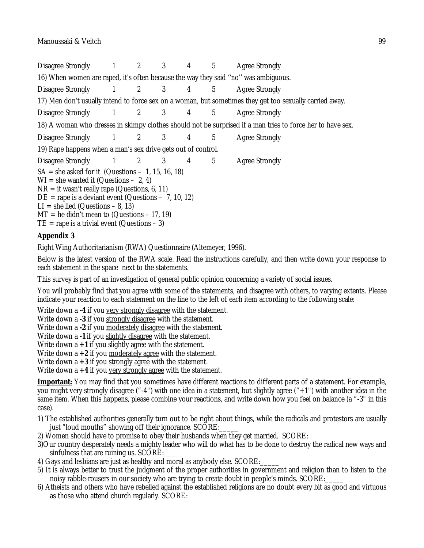Disagree Strongly 1 2 3 4 5 Agree Strongly 16) When women are raped, it's often because the way they said ''no'' was ambiguous. Disagree Strongly 1 2 3 4 5 Agree Strongly 17) Men don't usually intend to force sex on a woman, but sometimes they get too sexually carried away. Disagree Strongly 1 2 3 4 5 Agree Strongly 18) A woman who dresses in skimpy clothes should not be surprised if a man tries to force her to have sex. Disagree Strongly  $\begin{array}{cccc} 1 & 2 & 3 & 4 & 5 & \text{Agree strongly} \end{array}$ 19) Rape happens when a man's sex drive gets out of control. Disagree Strongly  $\begin{array}{cccc} 1 & 2 & 3 & 4 & 5 & \text{Agree Strongly} \end{array}$  $SA = she$  asked for it (Questions – 1, 15, 16, 18) WI = she wanted it (Questions  $-2$ , 4)  $NR = it wasn't really range (Questions, 6, 11)$  $DE =$  rape is a deviant event (Questions – 7, 10, 12) LI = she lied (Questions  $-8$ , 13)  $MT =$  he didn't mean to (Questions – 17, 19)  $TE =$  rape is a trivial event (Questions  $-3$ )

# **Appendix 3**

Right Wing Authoritarianism (RWA) Questionnaire (Altemeyer, 1996).

Below is the latest version of the RWA scale. Read the instructions carefully, and then write down your response to each statement in the space next to the statements.

This survey is part of an investigation of general public opinion concerning a variety of social issues.

You will probably find that you agree with some of the statements, and disagree with others, to varying extents. Please indicate your reaction to each statement on the line to the left of each item according to the following scale:

Write down a **-4** if you very strongly disagree with the statement.

Write down a **-3** if you strongly disagree with the statement.

Write down a **-2** if you moderately disagree with the statement.

Write down a -1 if you slightly disagree with the statement.

Write down a **+1** if you slightly agree with the statement.

Write down a **+2** if you moderately agree with the statement.

Write down a **+3** if you strongly agree with the statement.

Write down a **+4** if you very strongly agree with the statement.

**Important:** You may find that you sometimes have different reactions to different parts of a statement. For example, you might very strongly disagree ("-4") with one idea in a statement, but slightly agree ("+1") with another idea in the same item. When this happens, please combine your reactions, and write down how you feel on balance (a "-3" in this case).

- 1) The established authorities generally turn out to be right about things, while the radicals and protestors are usually just "loud mouths" showing off their ignorance. SCORE:
- 2) Women should have to promise to obey their husbands when they get married. SCORE:
- 3)Our country desperately needs a mighty leader who will do what has to be done to destroy the radical new ways and sinfulness that are ruining us. SCORE:
- 4) Gays and lesbians are just as healthy and moral as anybody else. SCORE:\_\_\_\_\_
- 5) It is always better to trust the judgment of the proper authorities in government and religion than to listen to the noisy rabble-rousers in our society who are trying to create doubt in people's minds. SCORE:
- 6) Atheists and others who have rebelled against the established religions are no doubt every bit as good and virtuous as those who attend church regularly. SCORE: